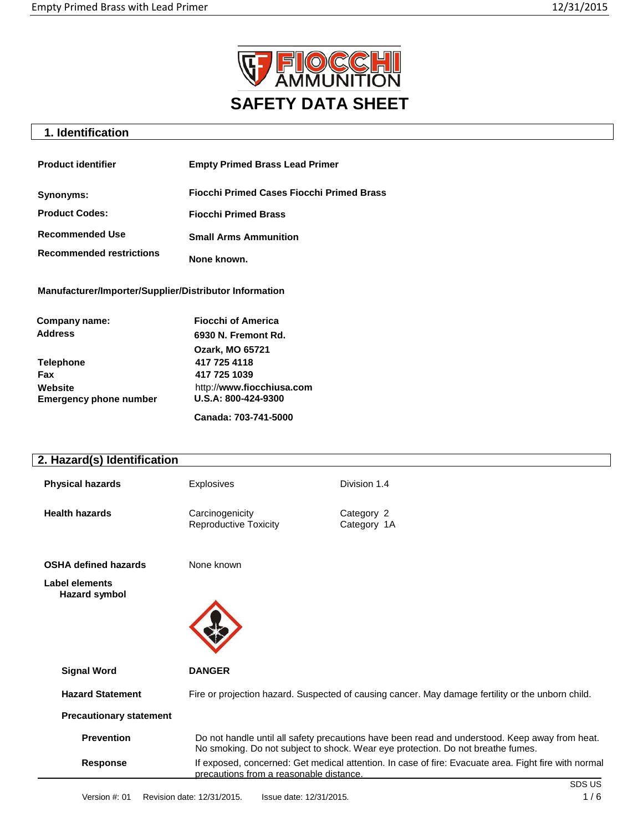

# **1. Identification**

| <b>Product identifier</b>       | <b>Empty Primed Brass Lead Primer</b>            |
|---------------------------------|--------------------------------------------------|
| Synonyms:                       | <b>Fiocchi Primed Cases Fiocchi Primed Brass</b> |
| <b>Product Codes:</b>           | <b>Fiocchi Primed Brass</b>                      |
| <b>Recommended Use</b>          | <b>Small Arms Ammunition</b>                     |
| <b>Recommended restrictions</b> | None known.                                      |

**Manufacturer/Importer/Supplier/Distributor Information**

| Company name:                            | <b>Fiocchi of America</b>                        |
|------------------------------------------|--------------------------------------------------|
| <b>Address</b>                           | 6930 N. Fremont Rd.                              |
|                                          | <b>Ozark, MO 65721</b>                           |
| <b>Telephone</b>                         | 417 725 4118                                     |
| Fax                                      | 417 725 1039                                     |
| Website<br><b>Emergency phone number</b> | http://www.fiocchiusa.com<br>U.S.A: 800-424-9300 |
|                                          | Canada: 703-741-5000                             |

# **2. Hazard(s) Identification**

| <b>Physical hazards</b> | <b>Explosives</b>                        | Division 1.4              |
|-------------------------|------------------------------------------|---------------------------|
| <b>Health hazards</b>   | Carcinogenicity<br>Reproductive Toxicity | Category 2<br>Category 1A |

**OSHA defined hazards** None known

**Label elements Hazard symbol**



| <b>Signal Word</b>             | <b>DANGER</b>                                                                                                                                                                     |
|--------------------------------|-----------------------------------------------------------------------------------------------------------------------------------------------------------------------------------|
| <b>Hazard Statement</b>        | Fire or projection hazard. Suspected of causing cancer. May damage fertility or the unborn child.                                                                                 |
| <b>Precautionary statement</b> |                                                                                                                                                                                   |
| <b>Prevention</b>              | Do not handle until all safety precautions have been read and understood. Keep away from heat.<br>No smoking. Do not subject to shock. Wear eye protection. Do not breathe fumes. |
| <b>Response</b>                | If exposed, concerned: Get medical attention. In case of fire: Evacuate area. Fight fire with normal<br>precautions from a reasonable distance.                                   |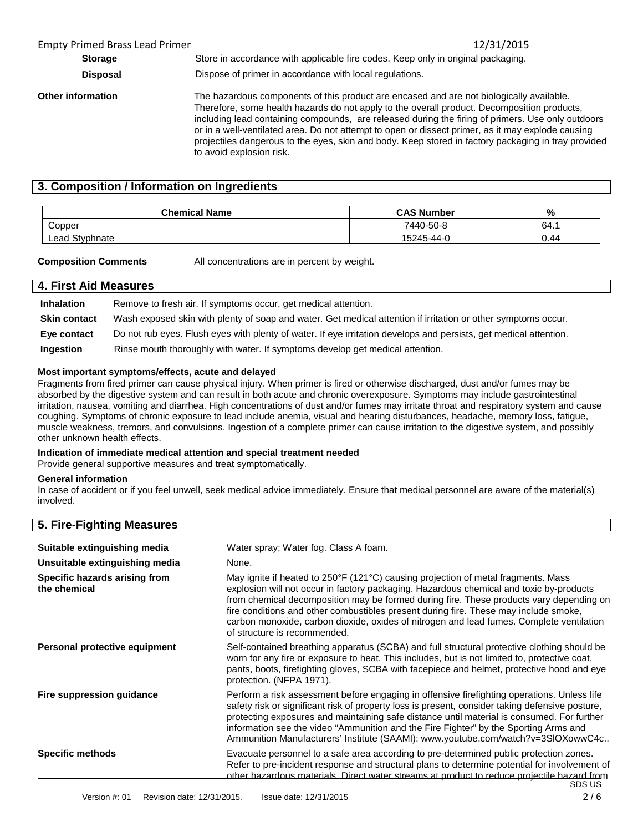| <b>Empty Primed Brass Lead Primer</b> | 12/31/2015                                                                                                                                                                                                                                                                                                                                                                                                                                                                                                                           |  |
|---------------------------------------|--------------------------------------------------------------------------------------------------------------------------------------------------------------------------------------------------------------------------------------------------------------------------------------------------------------------------------------------------------------------------------------------------------------------------------------------------------------------------------------------------------------------------------------|--|
| <b>Storage</b>                        | Store in accordance with applicable fire codes. Keep only in original packaging.                                                                                                                                                                                                                                                                                                                                                                                                                                                     |  |
| <b>Disposal</b>                       | Dispose of primer in accordance with local regulations.                                                                                                                                                                                                                                                                                                                                                                                                                                                                              |  |
| <b>Other information</b>              | The hazardous components of this product are encased and are not biologically available.<br>Therefore, some health hazards do not apply to the overall product. Decomposition products,<br>including lead containing compounds, are released during the firing of primers. Use only outdoors<br>or in a well-ventilated area. Do not attempt to open or dissect primer, as it may explode causing<br>projectiles dangerous to the eyes, skin and body. Keep stored in factory packaging in tray provided<br>to avoid explosion risk. |  |

# **3. Composition / Information on Ingredients**

| <b>Chemical Name</b> | <b>CAS Number</b> | %    |
|----------------------|-------------------|------|
| Copper               | 7440-50-8         | 64.1 |
| Styphnate<br>Lead    | 15245-44-0        | 0.44 |

**Composition Comments** All concentrations are in percent by weight.

## **4. First Aid Measures**

**Inhalation** Remove to fresh air. If symptoms occur, get medical attention. **Skin contact** Wash exposed skin with plenty of soap and water. Get medical attention if irritation or other symptoms occur. **Eye contact** Do not rub eyes. Flush eyes with plenty of water. If eye irritation develops and persists, get medical attention. **Ingestion** Rinse mouth thoroughly with water. If symptoms develop get medical attention.

#### **Most important symptoms/effects, acute and delayed**

Fragments from fired primer can cause physical injury. When primer is fired or otherwise discharged, dust and/or fumes may be absorbed by the digestive system and can result in both acute and chronic overexposure. Symptoms may include gastrointestinal irritation, nausea, vomiting and diarrhea. High concentrations of dust and/or fumes may irritate throat and respiratory system and cause coughing. Symptoms of chronic exposure to lead include anemia, visual and hearing disturbances, headache, memory loss, fatigue, muscle weakness, tremors, and convulsions. Ingestion of a complete primer can cause irritation to the digestive system, and possibly other unknown health effects.

#### **Indication of immediate medical attention and special treatment needed**

Provide general supportive measures and treat symptomatically.

#### **General information**

In case of accident or if you feel unwell, seek medical advice immediately. Ensure that medical personnel are aware of the material(s) involved.

| 5. Fire-Fighting Measures                     |                                                                                                                                                                                                                                                                                                                                                                                                                                                                                             |
|-----------------------------------------------|---------------------------------------------------------------------------------------------------------------------------------------------------------------------------------------------------------------------------------------------------------------------------------------------------------------------------------------------------------------------------------------------------------------------------------------------------------------------------------------------|
| Suitable extinguishing media                  | Water spray; Water fog. Class A foam.                                                                                                                                                                                                                                                                                                                                                                                                                                                       |
| Unsuitable extinguishing media                | None.                                                                                                                                                                                                                                                                                                                                                                                                                                                                                       |
| Specific hazards arising from<br>the chemical | May ignite if heated to 250°F (121°C) causing projection of metal fragments. Mass<br>explosion will not occur in factory packaging. Hazardous chemical and toxic by-products<br>from chemical decomposition may be formed during fire. These products vary depending on<br>fire conditions and other combustibles present during fire. These may include smoke,<br>carbon monoxide, carbon dioxide, oxides of nitrogen and lead fumes. Complete ventilation<br>of structure is recommended. |
| Personal protective equipment                 | Self-contained breathing apparatus (SCBA) and full structural protective clothing should be<br>worn for any fire or exposure to heat. This includes, but is not limited to, protective coat,<br>pants, boots, firefighting gloves, SCBA with facepiece and helmet, protective hood and eye<br>protection. (NFPA 1971).                                                                                                                                                                      |
| Fire suppression quidance                     | Perform a risk assessment before engaging in offensive firefighting operations. Unless life<br>safety risk or significant risk of property loss is present, consider taking defensive posture,<br>protecting exposures and maintaining safe distance until material is consumed. For further<br>information see the video "Ammunition and the Fire Fighter" by the Sporting Arms and<br>Ammunition Manufacturers' Institute (SAAMI): www.youtube.com/watch?v=3SIOXowwC4c                    |
| <b>Specific methods</b>                       | Evacuate personnel to a safe area according to pre-determined public protection zones.<br>Refer to pre-incident response and structural plans to determine potential for involvement of<br>other hazardous materials. Direct water streams at product to reduce projectile hazard from<br>SDS US                                                                                                                                                                                            |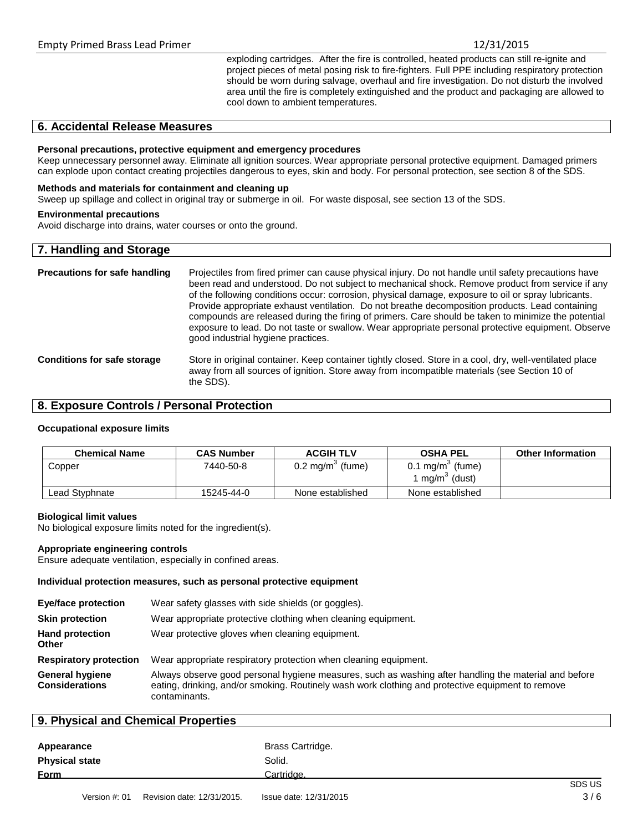exploding cartridges. After the fire is controlled, heated products can still re-ignite and project pieces of metal posing risk to fire-fighters. Full PPE including respiratory protection should be worn during salvage, overhaul and fire investigation. Do not disturb the involved area until the fire is completely extinguished and the product and packaging are allowed to cool down to ambient temperatures.

# **6. Accidental Release Measures**

#### **Personal precautions, protective equipment and emergency procedures**

Keep unnecessary personnel away. Eliminate all ignition sources. Wear appropriate personal protective equipment. Damaged primers can explode upon contact creating projectiles dangerous to eyes, skin and body. For personal protection, see section 8 of the SDS.

#### **Methods and materials for containment and cleaning up**

Sweep up spillage and collect in original tray or submerge in oil. For waste disposal, see section 13 of the SDS.

#### **Environmental precautions**

Avoid discharge into drains, water courses or onto the ground.

# **7. Handling and Storage**

| <b>Precautions for safe handling</b> | Projectiles from fired primer can cause physical injury. Do not handle until safety precautions have<br>been read and understood. Do not subject to mechanical shock. Remove product from service if any<br>of the following conditions occur: corrosion, physical damage, exposure to oil or spray lubricants.<br>Provide appropriate exhaust ventilation. Do not breathe decomposition products. Lead containing<br>compounds are released during the firing of primers. Care should be taken to minimize the potential<br>exposure to lead. Do not taste or swallow. Wear appropriate personal protective equipment. Observe<br>good industrial hygiene practices. |
|--------------------------------------|-----------------------------------------------------------------------------------------------------------------------------------------------------------------------------------------------------------------------------------------------------------------------------------------------------------------------------------------------------------------------------------------------------------------------------------------------------------------------------------------------------------------------------------------------------------------------------------------------------------------------------------------------------------------------|
| <b>Conditions for safe storage</b>   | Store in original container. Keep container tightly closed. Store in a cool, dry, well-ventilated place<br>away from all sources of ignition. Store away from incompatible materials (see Section 10 of<br>the SDS).                                                                                                                                                                                                                                                                                                                                                                                                                                                  |

# **8. Exposure Controls / Personal Protection**

#### **Occupational exposure limits**

| <b>Chemical Name</b> | <b>CAS Number</b> | <b>ACGIH TLV</b>            | <b>OSHA PEL</b>                                           | <b>Other Information</b> |
|----------------------|-------------------|-----------------------------|-----------------------------------------------------------|--------------------------|
| Copper               | 7440-50-8         | $0.2 \text{ mg/m}^3$ (fume) | $0.1 \text{ mg/m}^3$ (fume)<br>' mg/m <sup>3</sup> (dust) |                          |
| Lead Styphnate       | 15245-44-0        | None established            | None established                                          |                          |

#### **Biological limit values**

No biological exposure limits noted for the ingredient(s).

#### **Appropriate engineering controls**

Ensure adequate ventilation, especially in confined areas.

#### **Individual protection measures, such as personal protective equipment**

| Eye/face protection                             | Wear safety glasses with side shields (or goggles).                                                                                                                                                                         |
|-------------------------------------------------|-----------------------------------------------------------------------------------------------------------------------------------------------------------------------------------------------------------------------------|
| <b>Skin protection</b>                          | Wear appropriate protective clothing when cleaning equipment.                                                                                                                                                               |
| <b>Hand protection</b><br><b>Other</b>          | Wear protective gloves when cleaning equipment.                                                                                                                                                                             |
| <b>Respiratory protection</b>                   | Wear appropriate respiratory protection when cleaning equipment.                                                                                                                                                            |
| <b>General hygiene</b><br><b>Considerations</b> | Always observe good personal hygiene measures, such as washing after handling the material and before<br>eating, drinking, and/or smoking. Routinely wash work clothing and protective equipment to remove<br>contaminants. |

#### **9. Physical and Chemical Properties**

| Brass Cartridge. |         |
|------------------|---------|
| Solid.           |         |
| Cartridge.       | 0.00110 |
|                  |         |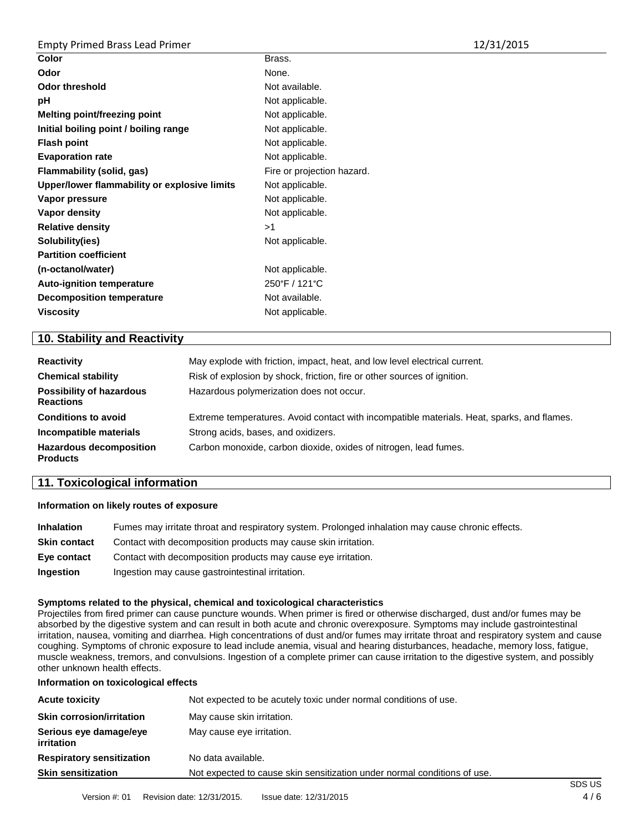| Color                                        | Brass.                     |
|----------------------------------------------|----------------------------|
| Odor                                         | None.                      |
| <b>Odor threshold</b>                        | Not available.             |
| рH                                           | Not applicable.            |
| Melting point/freezing point                 | Not applicable.            |
| Initial boiling point / boiling range        | Not applicable.            |
| <b>Flash point</b>                           | Not applicable.            |
| <b>Evaporation rate</b>                      | Not applicable.            |
| Flammability (solid, gas)                    | Fire or projection hazard. |
| Upper/lower flammability or explosive limits | Not applicable.            |
| Vapor pressure                               | Not applicable.            |
| Vapor density                                | Not applicable.            |
| <b>Relative density</b>                      | >1                         |
| Solubility(ies)                              | Not applicable.            |
| <b>Partition coefficient</b>                 |                            |
| (n-octanol/water)                            | Not applicable.            |
| <b>Auto-ignition temperature</b>             | 250°F / 121°C              |
| <b>Decomposition temperature</b>             | Not available.             |
| <b>Viscosity</b>                             | Not applicable.            |
|                                              |                            |

# **10. Stability and Reactivity**

| <b>Reactivity</b>                                   | May explode with friction, impact, heat, and low level electrical current.                 |  |
|-----------------------------------------------------|--------------------------------------------------------------------------------------------|--|
| <b>Chemical stability</b>                           | Risk of explosion by shock, friction, fire or other sources of ignition.                   |  |
| <b>Possibility of hazardous</b><br><b>Reactions</b> | Hazardous polymerization does not occur.                                                   |  |
| <b>Conditions to avoid</b>                          | Extreme temperatures. Avoid contact with incompatible materials. Heat, sparks, and flames. |  |
| Incompatible materials                              | Strong acids, bases, and oxidizers.                                                        |  |
| <b>Hazardous decomposition</b><br><b>Products</b>   | Carbon monoxide, carbon dioxide, oxides of nitrogen, lead fumes.                           |  |

# **11. Toxicological information**

### **Information on likely routes of exposure**

| <b>Inhalation</b>   | Fumes may irritate throat and respiratory system. Prolonged inhalation may cause chronic effects. |
|---------------------|---------------------------------------------------------------------------------------------------|
| <b>Skin contact</b> | Contact with decomposition products may cause skin irritation.                                    |
| Eve contact         | Contact with decomposition products may cause eye irritation.                                     |
| <b>Ingestion</b>    | Ingestion may cause gastrointestinal irritation.                                                  |

### **Symptoms related to the physical, chemical and toxicological characteristics**

Projectiles from fired primer can cause puncture wounds. When primer is fired or otherwise discharged, dust and/or fumes may be absorbed by the digestive system and can result in both acute and chronic overexposure. Symptoms may include gastrointestinal irritation, nausea, vomiting and diarrhea. High concentrations of dust and/or fumes may irritate throat and respiratory system and cause coughing. Symptoms of chronic exposure to lead include anemia, visual and hearing disturbances, headache, memory loss, fatigue, muscle weakness, tremors, and convulsions. Ingestion of a complete primer can cause irritation to the digestive system, and possibly other unknown health effects.

#### **Information on toxicological effects**

| <b>Acute toxicity</b>                       | Not expected to be acutely toxic under normal conditions of use.         |  |
|---------------------------------------------|--------------------------------------------------------------------------|--|
| <b>Skin corrosion/irritation</b>            | May cause skin irritation.                                               |  |
| Serious eye damage/eye<br><i>irritation</i> | May cause eye irritation.                                                |  |
| <b>Respiratory sensitization</b>            | No data available.                                                       |  |
| <b>Skin sensitization</b>                   | Not expected to cause skin sensitization under normal conditions of use. |  |
|                                             |                                                                          |  |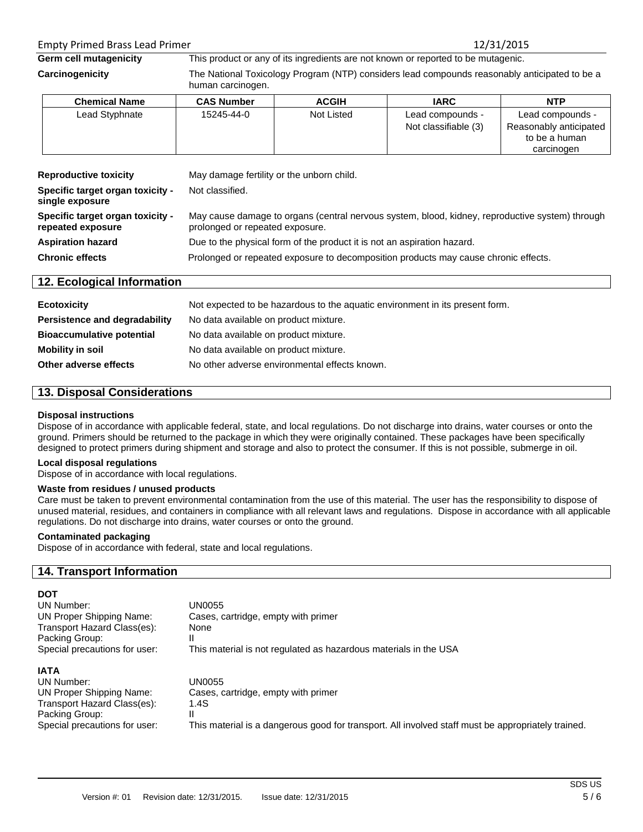# Empty Primed Brass Lead Primer 12/31/2015

**Germ cell mutagenicity** This product or any of its ingredients are not known or reported to be mutagenic.

**Carcinogenicity** The National Toxicology Program (NTP) considers lead compounds reasonably anticipated to be a human carcinogen.

| <b>Chemical Name</b> | <b>CAS Number</b> | <b>ACGIH</b> | <b>IARC</b>          | <b>NTP</b>             |
|----------------------|-------------------|--------------|----------------------|------------------------|
| Lead Styphnate       | 15245-44-0        | Not Listed   | Lead compounds -     | Lead compounds -       |
|                      |                   |              | Not classifiable (3) | Reasonably anticipated |
|                      |                   |              |                      | to be a human          |
|                      |                   |              |                      | carcinogen             |

| <b>Reproductive toxicity</b><br>Specific target organ toxicity -<br>single exposure | May damage fertility or the unborn child.<br>Not classified.                                                                       |
|-------------------------------------------------------------------------------------|------------------------------------------------------------------------------------------------------------------------------------|
| Specific target organ toxicity -<br>repeated exposure                               | May cause damage to organs (central nervous system, blood, kidney, reproductive system) through<br>prolonged or repeated exposure. |
| <b>Aspiration hazard</b>                                                            | Due to the physical form of the product it is not an aspiration hazard.                                                            |
| <b>Chronic effects</b>                                                              | Prolonged or repeated exposure to decomposition products may cause chronic effects.                                                |

# **12. Ecological Information**

| <b>Ecotoxicity</b>               | Not expected to be hazardous to the aquatic environment in its present form. |
|----------------------------------|------------------------------------------------------------------------------|
| Persistence and degradability    | No data available on product mixture.                                        |
| <b>Bioaccumulative potential</b> | No data available on product mixture.                                        |
| Mobility in soil                 | No data available on product mixture.                                        |
| Other adverse effects            | No other adverse environmental effects known.                                |

# **13. Disposal Considerations**

### **Disposal instructions**

Dispose of in accordance with applicable federal, state, and local regulations. Do not discharge into drains, water courses or onto the ground. Primers should be returned to the package in which they were originally contained. These packages have been specifically designed to protect primers during shipment and storage and also to protect the consumer. If this is not possible, submerge in oil.

### **Local disposal regulations**

Dispose of in accordance with local regulations.

### **Waste from residues / unused products**

Care must be taken to prevent environmental contamination from the use of this material. The user has the responsibility to dispose of unused material, residues, and containers in compliance with all relevant laws and regulations. Dispose in accordance with all applicable regulations. Do not discharge into drains, water courses or onto the ground.

## **Contaminated packaging**

Dispose of in accordance with federal, state and local regulations.

# **14. Transport Information**

| <b>DOT</b>                                                                                                                                     |                                                                                                                                                                  |
|------------------------------------------------------------------------------------------------------------------------------------------------|------------------------------------------------------------------------------------------------------------------------------------------------------------------|
| UN Number:                                                                                                                                     | UN0055                                                                                                                                                           |
| UN Proper Shipping Name:                                                                                                                       | Cases, cartridge, empty with primer                                                                                                                              |
| Transport Hazard Class(es):                                                                                                                    | None                                                                                                                                                             |
| Packing Group:                                                                                                                                 |                                                                                                                                                                  |
| Special precautions for user:                                                                                                                  | This material is not regulated as hazardous materials in the USA                                                                                                 |
| <b>IATA</b><br>UN Number:<br><b>UN Proper Shipping Name:</b><br>Transport Hazard Class(es):<br>Packing Group:<br>Special precautions for user: | UN0055<br>Cases, cartridge, empty with primer<br>1.4S<br>Ш<br>This material is a dangerous good for transport. All involved staff must be appropriately trained. |